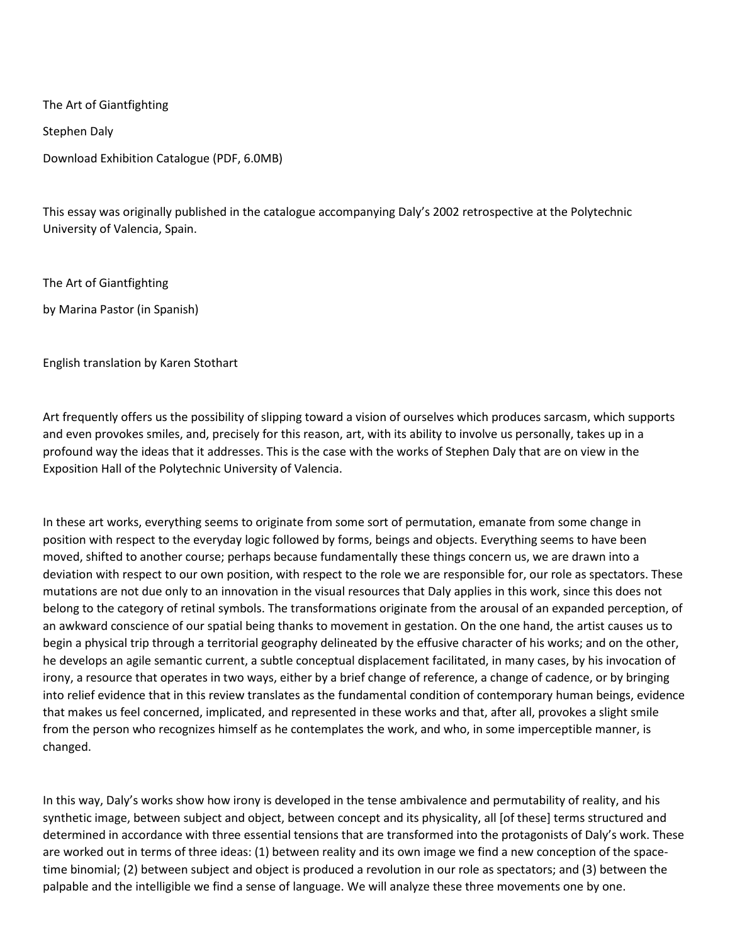The Art of Giantfighting

Stephen Daly

Download Exhibition Catalogue (PDF, 6.0MB)

This essay was originally published in the catalogue accompanying Daly's 2002 retrospective at the Polytechnic University of Valencia, Spain.

The Art of Giantfighting

by Marina Pastor (in Spanish)

English translation by Karen Stothart

Art frequently offers us the possibility of slipping toward a vision of ourselves which produces sarcasm, which supports and even provokes smiles, and, precisely for this reason, art, with its ability to involve us personally, takes up in a profound way the ideas that it addresses. This is the case with the works of Stephen Daly that are on view in the Exposition Hall of the Polytechnic University of Valencia.

In these art works, everything seems to originate from some sort of permutation, emanate from some change in position with respect to the everyday logic followed by forms, beings and objects. Everything seems to have been moved, shifted to another course; perhaps because fundamentally these things concern us, we are drawn into a deviation with respect to our own position, with respect to the role we are responsible for, our role as spectators. These mutations are not due only to an innovation in the visual resources that Daly applies in this work, since this does not belong to the category of retinal symbols. The transformations originate from the arousal of an expanded perception, of an awkward conscience of our spatial being thanks to movement in gestation. On the one hand, the artist causes us to begin a physical trip through a territorial geography delineated by the effusive character of his works; and on the other, he develops an agile semantic current, a subtle conceptual displacement facilitated, in many cases, by his invocation of irony, a resource that operates in two ways, either by a brief change of reference, a change of cadence, or by bringing into relief evidence that in this review translates as the fundamental condition of contemporary human beings, evidence that makes us feel concerned, implicated, and represented in these works and that, after all, provokes a slight smile from the person who recognizes himself as he contemplates the work, and who, in some imperceptible manner, is changed.

In this way, Daly's works show how irony is developed in the tense ambivalence and permutability of reality, and his synthetic image, between subject and object, between concept and its physicality, all [of these] terms structured and determined in accordance with three essential tensions that are transformed into the protagonists of Daly's work. These are worked out in terms of three ideas: (1) between reality and its own image we find a new conception of the spacetime binomial; (2) between subject and object is produced a revolution in our role as spectators; and (3) between the palpable and the intelligible we find a sense of language. We will analyze these three movements one by one.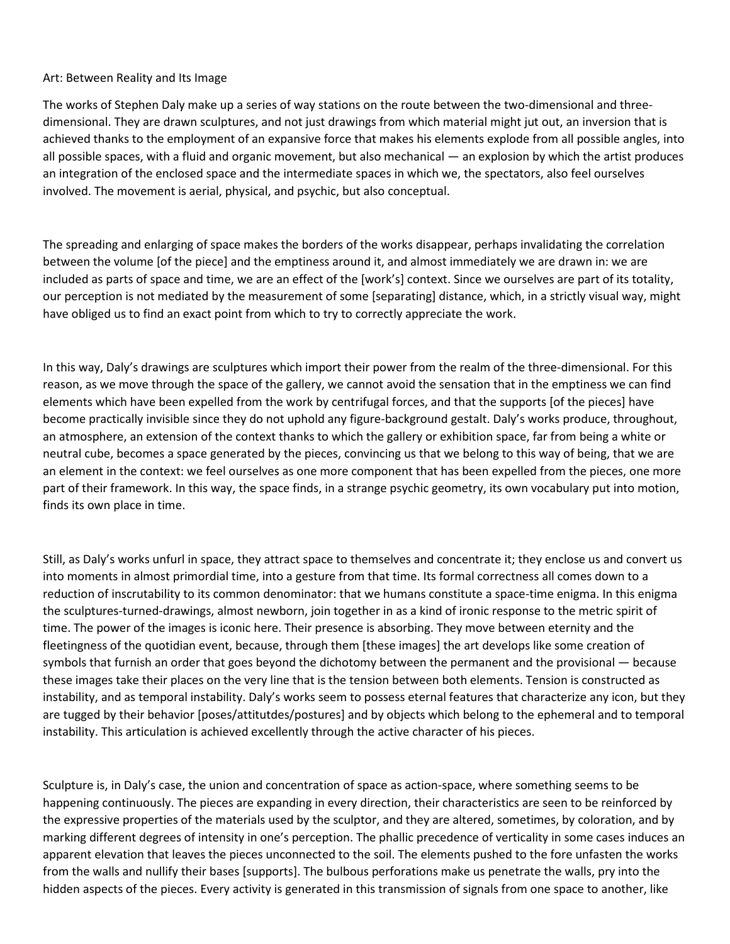## Art: Between Reality and Its Image

The works of Stephen Daly make up a series of way stations on the route between the two-dimensional and threedimensional. They are drawn sculptures, and not just drawings from which material might jut out, an inversion that is achieved thanks to the employment of an expansive force that makes his elements explode from all possible angles, into all possible spaces, with a fluid and organic movement, but also mechanical — an explosion by which the artist produces an integration of the enclosed space and the intermediate spaces in which we, the spectators, also feel ourselves involved. The movement is aerial, physical, and psychic, but also conceptual.

The spreading and enlarging of space makes the borders of the works disappear, perhaps invalidating the correlation between the volume [of the piece] and the emptiness around it, and almost immediately we are drawn in: we are included as parts of space and time, we are an effect of the [work's] context. Since we ourselves are part of its totality, our perception is not mediated by the measurement of some [separating] distance, which, in a strictly visual way, might have obliged us to find an exact point from which to try to correctly appreciate the work.

In this way, Daly's drawings are sculptures which import their power from the realm of the three-dimensional. For this reason, as we move through the space of the gallery, we cannot avoid the sensation that in the emptiness we can find elements which have been expelled from the work by centrifugal forces, and that the supports [of the pieces] have become practically invisible since they do not uphold any figure-background gestalt. Daly's works produce, throughout, an atmosphere, an extension of the context thanks to which the gallery or exhibition space, far from being a white or neutral cube, becomes a space generated by the pieces, convincing us that we belong to this way of being, that we are an element in the context: we feel ourselves as one more component that has been expelled from the pieces, one more part of their framework. In this way, the space finds, in a strange psychic geometry, its own vocabulary put into motion, finds its own place in time.

Still, as Daly's works unfurl in space, they attract space to themselves and concentrate it; they enclose us and convert us into moments in almost primordial time, into a gesture from that time. Its formal correctness all comes down to a reduction of inscrutability to its common denominator: that we humans constitute a space-time enigma. In this enigma the sculptures-turned-drawings, almost newborn, join together in as a kind of ironic response to the metric spirit of time. The power of the images is iconic here. Their presence is absorbing. They move between eternity and the fleetingness of the quotidian event, because, through them [these images] the art develops like some creation of symbols that furnish an order that goes beyond the dichotomy between the permanent and the provisional — because these images take their places on the very line that is the tension between both elements. Tension is constructed as instability, and as temporal instability. Daly's works seem to possess eternal features that characterize any icon, but they are tugged by their behavior [poses/attitutdes/postures] and by objects which belong to the ephemeral and to temporal instability. This articulation is achieved excellently through the active character of his pieces.

Sculpture is, in Daly's case, the union and concentration of space as action-space, where something seems to be happening continuously. The pieces are expanding in every direction, their characteristics are seen to be reinforced by the expressive properties of the materials used by the sculptor, and they are altered, sometimes, by coloration, and by marking different degrees of intensity in one's perception. The phallic precedence of verticality in some cases induces an apparent elevation that leaves the pieces unconnected to the soil. The elements pushed to the fore unfasten the works from the walls and nullify their bases [supports]. The bulbous perforations make us penetrate the walls, pry into the hidden aspects of the pieces. Every activity is generated in this transmission of signals from one space to another, like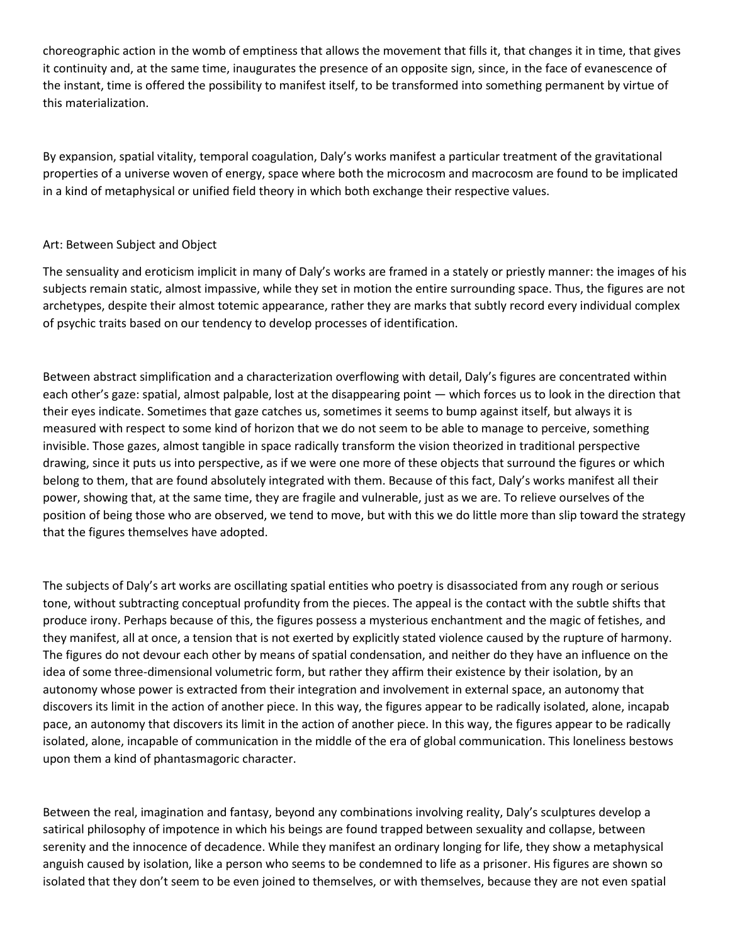choreographic action in the womb of emptiness that allows the movement that fills it, that changes it in time, that gives it continuity and, at the same time, inaugurates the presence of an opposite sign, since, in the face of evanescence of the instant, time is offered the possibility to manifest itself, to be transformed into something permanent by virtue of this materialization.

By expansion, spatial vitality, temporal coagulation, Daly's works manifest a particular treatment of the gravitational properties of a universe woven of energy, space where both the microcosm and macrocosm are found to be implicated in a kind of metaphysical or unified field theory in which both exchange their respective values.

## Art: Between Subject and Object

The sensuality and eroticism implicit in many of Daly's works are framed in a stately or priestly manner: the images of his subjects remain static, almost impassive, while they set in motion the entire surrounding space. Thus, the figures are not archetypes, despite their almost totemic appearance, rather they are marks that subtly record every individual complex of psychic traits based on our tendency to develop processes of identification.

Between abstract simplification and a characterization overflowing with detail, Daly's figures are concentrated within each other's gaze: spatial, almost palpable, lost at the disappearing point — which forces us to look in the direction that their eyes indicate. Sometimes that gaze catches us, sometimes it seems to bump against itself, but always it is measured with respect to some kind of horizon that we do not seem to be able to manage to perceive, something invisible. Those gazes, almost tangible in space radically transform the vision theorized in traditional perspective drawing, since it puts us into perspective, as if we were one more of these objects that surround the figures or which belong to them, that are found absolutely integrated with them. Because of this fact, Daly's works manifest all their power, showing that, at the same time, they are fragile and vulnerable, just as we are. To relieve ourselves of the position of being those who are observed, we tend to move, but with this we do little more than slip toward the strategy that the figures themselves have adopted.

The subjects of Daly's art works are oscillating spatial entities who poetry is disassociated from any rough or serious tone, without subtracting conceptual profundity from the pieces. The appeal is the contact with the subtle shifts that produce irony. Perhaps because of this, the figures possess a mysterious enchantment and the magic of fetishes, and they manifest, all at once, a tension that is not exerted by explicitly stated violence caused by the rupture of harmony. The figures do not devour each other by means of spatial condensation, and neither do they have an influence on the idea of some three-dimensional volumetric form, but rather they affirm their existence by their isolation, by an autonomy whose power is extracted from their integration and involvement in external space, an autonomy that discovers its limit in the action of another piece. In this way, the figures appear to be radically isolated, alone, incapab pace, an autonomy that discovers its limit in the action of another piece. In this way, the figures appear to be radically isolated, alone, incapable of communication in the middle of the era of global communication. This loneliness bestows upon them a kind of phantasmagoric character.

Between the real, imagination and fantasy, beyond any combinations involving reality, Daly's sculptures develop a satirical philosophy of impotence in which his beings are found trapped between sexuality and collapse, between serenity and the innocence of decadence. While they manifest an ordinary longing for life, they show a metaphysical anguish caused by isolation, like a person who seems to be condemned to life as a prisoner. His figures are shown so isolated that they don't seem to be even joined to themselves, or with themselves, because they are not even spatial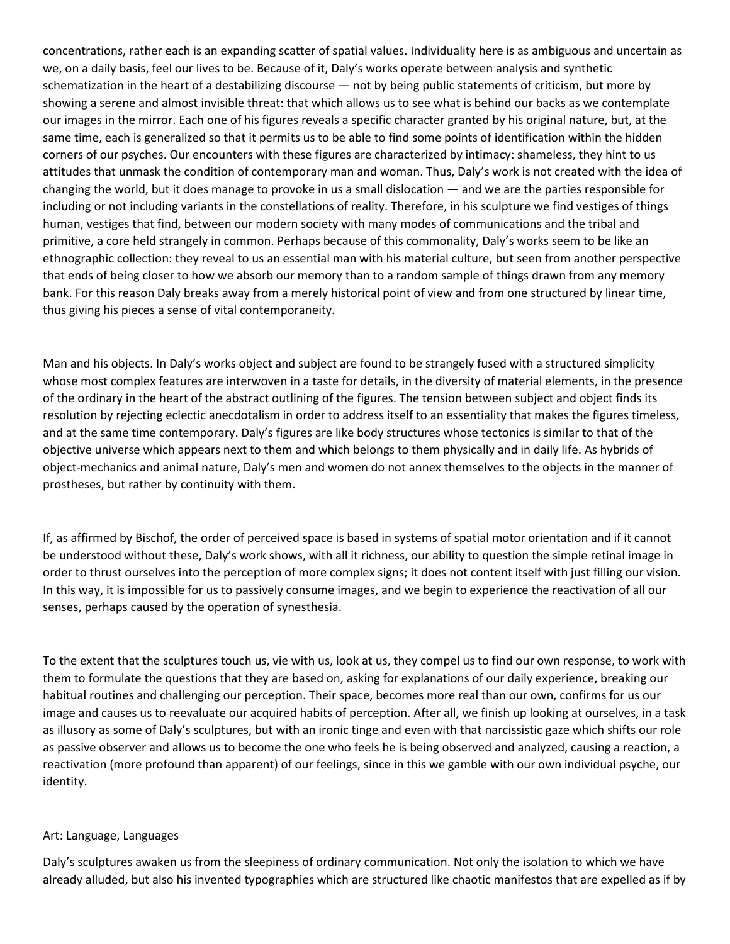concentrations, rather each is an expanding scatter of spatial values. Individuality here is as ambiguous and uncertain as we, on a daily basis, feel our lives to be. Because of it, Daly's works operate between analysis and synthetic schematization in the heart of a destabilizing discourse — not by being public statements of criticism, but more by showing a serene and almost invisible threat: that which allows us to see what is behind our backs as we contemplate our images in the mirror. Each one of his figures reveals a specific character granted by his original nature, but, at the same time, each is generalized so that it permits us to be able to find some points of identification within the hidden corners of our psyches. Our encounters with these figures are characterized by intimacy: shameless, they hint to us attitudes that unmask the condition of contemporary man and woman. Thus, Daly's work is not created with the idea of changing the world, but it does manage to provoke in us a small dislocation — and we are the parties responsible for including or not including variants in the constellations of reality. Therefore, in his sculpture we find vestiges of things human, vestiges that find, between our modern society with many modes of communications and the tribal and primitive, a core held strangely in common. Perhaps because of this commonality, Daly's works seem to be like an ethnographic collection: they reveal to us an essential man with his material culture, but seen from another perspective that ends of being closer to how we absorb our memory than to a random sample of things drawn from any memory bank. For this reason Daly breaks away from a merely historical point of view and from one structured by linear time, thus giving his pieces a sense of vital contemporaneity.

Man and his objects. In Daly's works object and subject are found to be strangely fused with a structured simplicity whose most complex features are interwoven in a taste for details, in the diversity of material elements, in the presence of the ordinary in the heart of the abstract outlining of the figures. The tension between subject and object finds its resolution by rejecting eclectic anecdotalism in order to address itself to an essentiality that makes the figures timeless, and at the same time contemporary. Daly's figures are like body structures whose tectonics is similar to that of the objective universe which appears next to them and which belongs to them physically and in daily life. As hybrids of object-mechanics and animal nature, Daly's men and women do not annex themselves to the objects in the manner of prostheses, but rather by continuity with them.

If, as affirmed by Bischof, the order of perceived space is based in systems of spatial motor orientation and if it cannot be understood without these, Daly's work shows, with all it richness, our ability to question the simple retinal image in order to thrust ourselves into the perception of more complex signs; it does not content itself with just filling our vision. In this way, it is impossible for us to passively consume images, and we begin to experience the reactivation of all our senses, perhaps caused by the operation of synesthesia.

To the extent that the sculptures touch us, vie with us, look at us, they compel us to find our own response, to work with them to formulate the questions that they are based on, asking for explanations of our daily experience, breaking our habitual routines and challenging our perception. Their space, becomes more real than our own, confirms for us our image and causes us to reevaluate our acquired habits of perception. After all, we finish up looking at ourselves, in a task as illusory as some of Daly's sculptures, but with an ironic tinge and even with that narcissistic gaze which shifts our role as passive observer and allows us to become the one who feels he is being observed and analyzed, causing a reaction, a reactivation (more profound than apparent) of our feelings, since in this we gamble with our own individual psyche, our identity.

## Art: Language, Languages

Daly's sculptures awaken us from the sleepiness of ordinary communication. Not only the isolation to which we have already alluded, but also his invented typographies which are structured like chaotic manifestos that are expelled as if by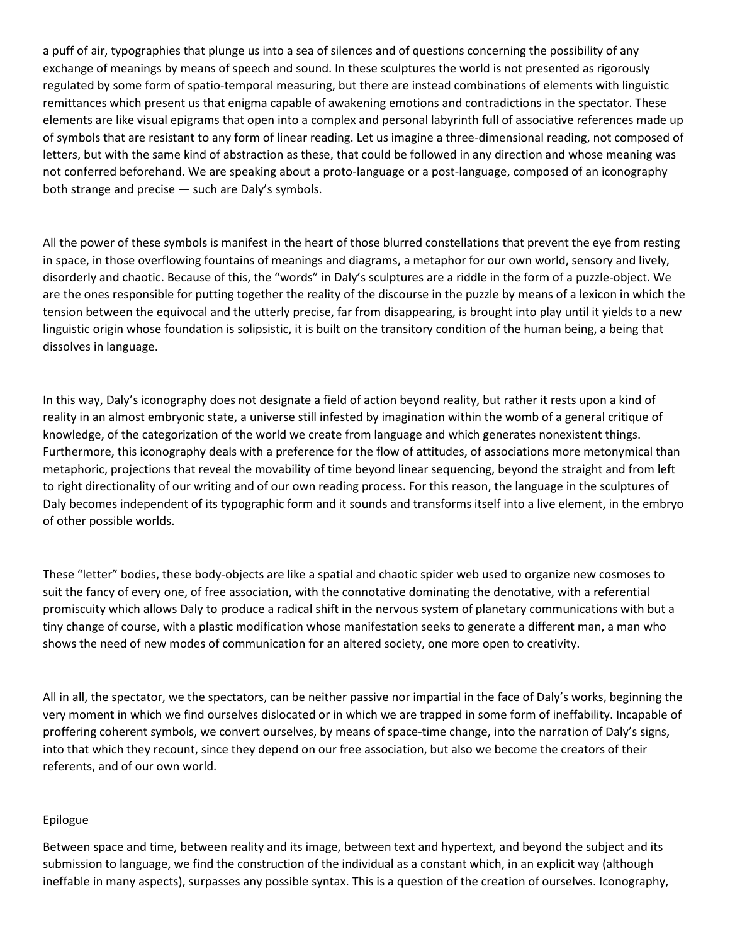a puff of air, typographies that plunge us into a sea of silences and of questions concerning the possibility of any exchange of meanings by means of speech and sound. In these sculptures the world is not presented as rigorously regulated by some form of spatio-temporal measuring, but there are instead combinations of elements with linguistic remittances which present us that enigma capable of awakening emotions and contradictions in the spectator. These elements are like visual epigrams that open into a complex and personal labyrinth full of associative references made up of symbols that are resistant to any form of linear reading. Let us imagine a three-dimensional reading, not composed of letters, but with the same kind of abstraction as these, that could be followed in any direction and whose meaning was not conferred beforehand. We are speaking about a proto-language or a post-language, composed of an iconography both strange and precise — such are Daly's symbols.

All the power of these symbols is manifest in the heart of those blurred constellations that prevent the eye from resting in space, in those overflowing fountains of meanings and diagrams, a metaphor for our own world, sensory and lively, disorderly and chaotic. Because of this, the "words" in Daly's sculptures are a riddle in the form of a puzzle-object. We are the ones responsible for putting together the reality of the discourse in the puzzle by means of a lexicon in which the tension between the equivocal and the utterly precise, far from disappearing, is brought into play until it yields to a new linguistic origin whose foundation is solipsistic, it is built on the transitory condition of the human being, a being that dissolves in language.

In this way, Daly's iconography does not designate a field of action beyond reality, but rather it rests upon a kind of reality in an almost embryonic state, a universe still infested by imagination within the womb of a general critique of knowledge, of the categorization of the world we create from language and which generates nonexistent things. Furthermore, this iconography deals with a preference for the flow of attitudes, of associations more metonymical than metaphoric, projections that reveal the movability of time beyond linear sequencing, beyond the straight and from left to right directionality of our writing and of our own reading process. For this reason, the language in the sculptures of Daly becomes independent of its typographic form and it sounds and transforms itself into a live element, in the embryo of other possible worlds.

These "letter" bodies, these body-objects are like a spatial and chaotic spider web used to organize new cosmoses to suit the fancy of every one, of free association, with the connotative dominating the denotative, with a referential promiscuity which allows Daly to produce a radical shift in the nervous system of planetary communications with but a tiny change of course, with a plastic modification whose manifestation seeks to generate a different man, a man who shows the need of new modes of communication for an altered society, one more open to creativity.

All in all, the spectator, we the spectators, can be neither passive nor impartial in the face of Daly's works, beginning the very moment in which we find ourselves dislocated or in which we are trapped in some form of ineffability. Incapable of proffering coherent symbols, we convert ourselves, by means of space-time change, into the narration of Daly's signs, into that which they recount, since they depend on our free association, but also we become the creators of their referents, and of our own world.

## Epilogue

Between space and time, between reality and its image, between text and hypertext, and beyond the subject and its submission to language, we find the construction of the individual as a constant which, in an explicit way (although ineffable in many aspects), surpasses any possible syntax. This is a question of the creation of ourselves. Iconography,